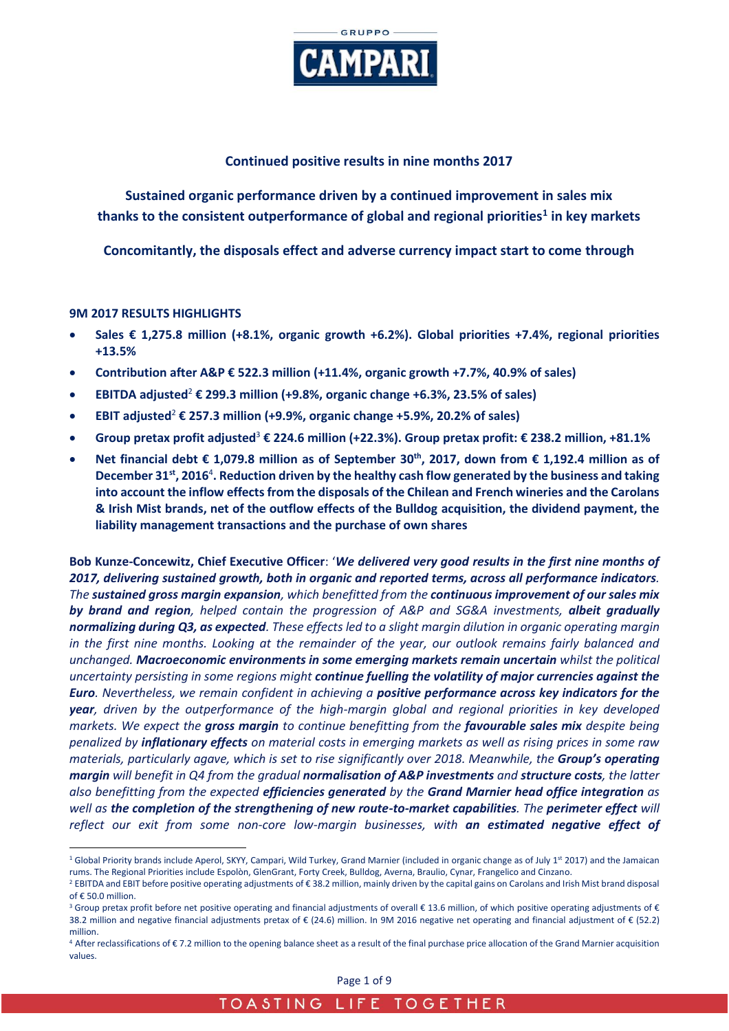

## **Continued positive results in nine months 2017**

**Sustained organic performance driven by a continued improvement in sales mix thanks to the consistent outperformance of global and regional priorities<sup>1</sup> in key markets**

**Concomitantly, the disposals effect and adverse currency impact start to come through**

### **9M 2017 RESULTS HIGHLIGHTS**

- **Sales € 1,275.8 million (+8.1%, organic growth +6.2%). Global priorities +7.4%, regional priorities +13.5%**
- **Contribution after A&P € 522.3 million (+11.4%, organic growth +7.7%, 40.9% of sales)**
- **EBITDA adjusted**<sup>2</sup> **€ 299.3 million (+9.8%, organic change +6.3%, 23.5% of sales)**
- **EBIT adjusted** <sup>2</sup> **€ 257.3 million (+9.9%, organic change +5.9%, 20.2% of sales)**
- **Group pretax profit adjusted**<sup>3</sup> **€ 224.6 million (+22.3%). Group pretax profit: € 238.2 million, +81.1%**
- **Net financial debt € 1,079.8 million as of September 30th, 2017, down from € 1,192.4 million as of December 31st, 2016**<sup>4</sup> **. Reduction driven by the healthy cash flow generated by the business and taking into account the inflow effects from the disposals of the Chilean and French wineries and the Carolans & Irish Mist brands, net of the outflow effects of the Bulldog acquisition, the dividend payment, the liability management transactions and the purchase of own shares**

**Bob Kunze-Concewitz, Chief Executive Officer**: '*We delivered very good results in the first nine months of 2017, delivering sustained growth, both in organic and reported terms, across all performance indicators. The sustained gross margin expansion, which benefitted from the continuous improvement of our sales mix by brand and region, helped contain the progression of A&P and SG&A investments, albeit gradually normalizing during Q3, as expected. These effects led to a slight margin dilution in organic operating margin in the first nine months. Looking at the remainder of the year, our outlook remains fairly balanced and unchanged. Macroeconomic environments in some emerging markets remain uncertain whilst the political uncertainty persisting in some regions might continue fuelling the volatility of major currencies against the Euro. Nevertheless, we remain confident in achieving a positive performance across key indicators for the year, driven by the outperformance of the high-margin global and regional priorities in key developed markets. We expect the gross margin to continue benefitting from the favourable sales mix despite being penalized by inflationary effects on material costs in emerging markets as well as rising prices in some raw materials, particularly agave, which is set to rise significantly over 2018. Meanwhile, the Group's operating margin will benefit in Q4 from the gradual normalisation of A&P investments and structure costs, the latter also benefitting from the expected efficiencies generated by the Grand Marnier head office integration as well as the completion of the strengthening of new route-to-market capabilities. The perimeter effect will reflect our exit from some non-core low-margin businesses, with an estimated negative effect of* 

Page 1 of 9

 $\overline{a}$  $1$  Global Priority brands include Aperol, SKYY, Campari, Wild Turkey, Grand Marnier (included in organic change as of July  $1<sup>st</sup> 2017$ ) and the Jamaican rums. The Regional Priorities include Espolòn, GlenGrant, Forty Creek, Bulldog, Averna, Braulio, Cynar, Frangelico and Cinzano.

<sup>2</sup> EBITDA and EBIT before positive operating adjustments of € 38.2 million, mainly driven by the capital gains on Carolans and Irish Mist brand disposal of  $\epsilon$  50.0 million.

 $3$  Group pretax profit before net positive operating and financial adjustments of overall  $\epsilon$  13.6 million, of which positive operating adjustments of  $\epsilon$ 38.2 million and negative financial adjustments pretax of € (24.6) million. In 9M 2016 negative net operating and financial adjustment of € (52.2) million.

<sup>4</sup> After reclassifications of € 7.2 million to the opening balance sheet as a result of the final purchase price allocation of the Grand Marnier acquisition values.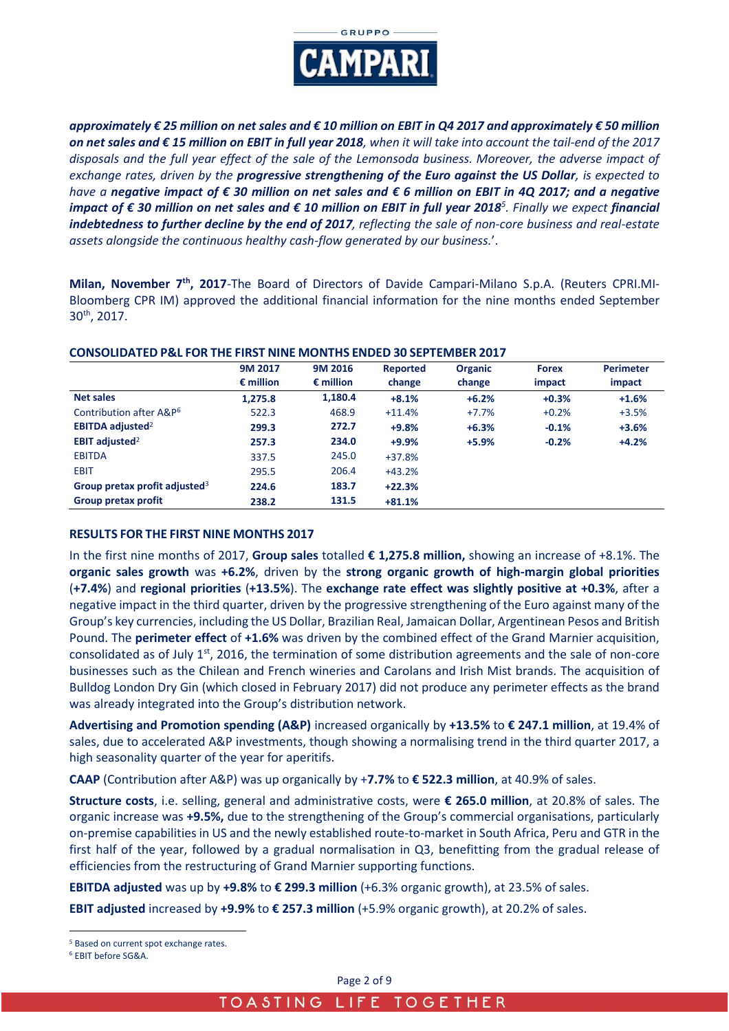

*approximately € 25 million on net sales and € 10 million on EBIT in Q4 2017 and approximately € 50 million on net sales and € 15 million on EBIT in full year 2018, when it will take into account the tail-end of the 2017 disposals and the full year effect of the sale of the Lemonsoda business. Moreover, the adverse impact of exchange rates, driven by the progressive strengthening of the Euro against the US Dollar, is expected to have a negative impact of € 30 million on net sales and € 6 million on EBIT in 4Q 2017; and a negative impact of € 30 million on net sales and € 10 million on EBIT in full year 2018<sup>5</sup> . Finally we expect financial indebtedness to further decline by the end of 2017, reflecting the sale of non-core business and real-estate assets alongside the continuous healthy cash-flow generated by our business.*'.

**Milan, November 7th, 2017**-The Board of Directors of Davide Campari-Milano S.p.A. (Reuters CPRI.MI-Bloomberg CPR IM) approved the additional financial information for the nine months ended September 30th , 2017.

|                                     | 9M 2017<br>$\epsilon$ million | 9M 2016            | Reported | <b>Organic</b> | <b>Forex</b> | <b>Perimeter</b> |
|-------------------------------------|-------------------------------|--------------------|----------|----------------|--------------|------------------|
|                                     |                               | $\epsilon$ million | change   | change         | impact       | impact           |
| Net sales                           | 1.275.8                       | 1,180.4            | $+8.1%$  | $+6.2%$        | $+0.3%$      | $+1.6%$          |
| Contribution after A&P <sup>6</sup> | 522.3                         | 468.9              | $+11.4%$ | $+7.7%$        | $+0.2%$      | $+3.5%$          |
| <b>EBITDA adjusted</b> <sup>2</sup> | 299.3                         | 272.7              | $+9.8%$  | $+6.3%$        | $-0.1%$      | $+3.6%$          |
| EBIT adjusted <sup>2</sup>          | 257.3                         | 234.0              | $+9.9%$  | $+5.9%$        | $-0.2%$      | $+4.2%$          |
| <b>EBITDA</b>                       | 337.5                         | 245.0              | $+37.8%$ |                |              |                  |
| <b>EBIT</b>                         | 295.5                         | 206.4              | $+43.2%$ |                |              |                  |
| Group pretax profit adjusted $3$    | 224.6                         | 183.7              | $+22.3%$ |                |              |                  |
| Group pretax profit                 | 238.2                         | 131.5              | $+81.1%$ |                |              |                  |

#### **CONSOLIDATED P&L FOR THE FIRST NINE MONTHS ENDED 30 SEPTEMBER 2017**

## **RESULTS FOR THE FIRST NINE MONTHS 2017**

In the first nine months of 2017, **Group sales** totalled **€ 1,275.8 million,** showing an increase of +8.1%. The **organic sales growth** was **+6.2%**, driven by the **strong organic growth of high-margin global priorities** (**+7.4%**) and **regional priorities** (**+13.5%**). The **exchange rate effect was slightly positive at +0.3%**, after a negative impact in the third quarter, driven by the progressive strengthening of the Euro against many of the Group's key currencies, including the US Dollar, Brazilian Real, Jamaican Dollar, Argentinean Pesos and British Pound. The **perimeter effect** of **+1.6%** was driven by the combined effect of the Grand Marnier acquisition, consolidated as of July  $1^{st}$ , 2016, the termination of some distribution agreements and the sale of non-core businesses such as the Chilean and French wineries and Carolans and Irish Mist brands. The acquisition of Bulldog London Dry Gin (which closed in February 2017) did not produce any perimeter effects as the brand was already integrated into the Group's distribution network.

**Advertising and Promotion spending (A&P)** increased organically by **+13.5%** to **€ 247.1 million**, at 19.4% of sales, due to accelerated A&P investments, though showing a normalising trend in the third quarter 2017, a high seasonality quarter of the year for aperitifs.

**CAAP** (Contribution after A&P) was up organically by +**7.7%** to **€ 522.3 million**, at 40.9% of sales.

**Structure costs**, i.e. selling, general and administrative costs, were **€ 265.0 million**, at 20.8% of sales. The organic increase was **+9.5%,** due to the strengthening of the Group's commercial organisations, particularly on-premise capabilities in US and the newly established route-to-market in South Africa, Peru and GTR in the first half of the year, followed by a gradual normalisation in Q3, benefitting from the gradual release of efficiencies from the restructuring of Grand Marnier supporting functions.

**EBITDA adjusted** was up by **+9.8%** to **€ 299.3 million** (+6.3% organic growth), at 23.5% of sales.

**EBIT adjusted** increased by **+9.9%** to **€ 257.3 million** (+5.9% organic growth), at 20.2% of sales.

 $\overline{a}$ <sup>5</sup> Based on current spot exchange rates.

<sup>6</sup> EBIT before SG&A.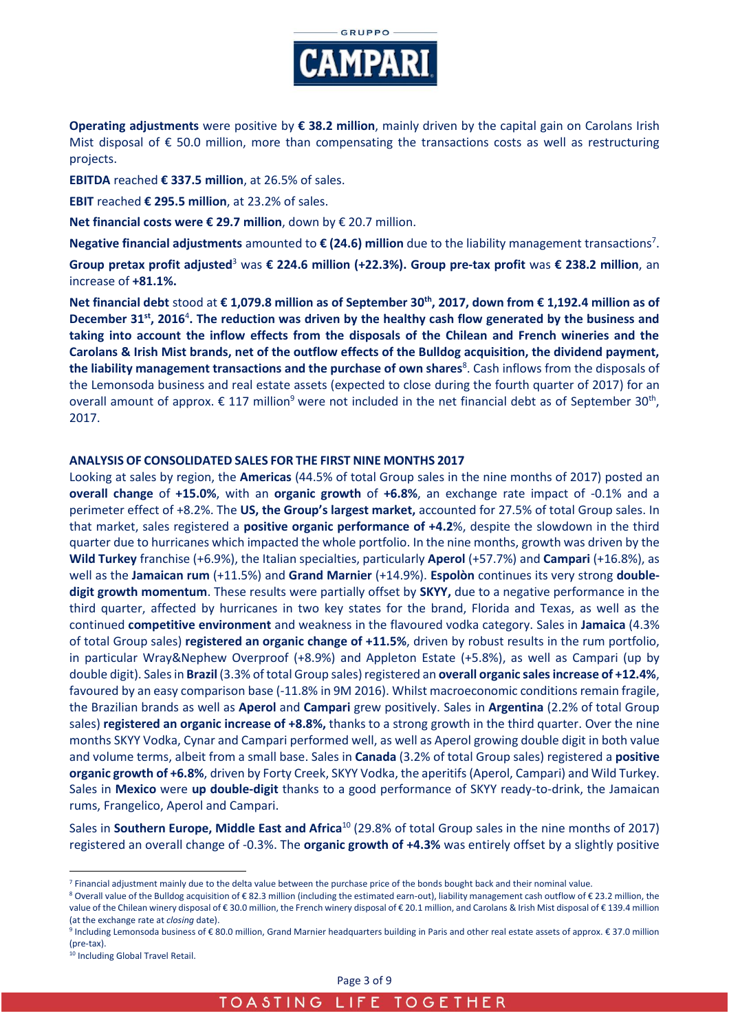

**Operating adjustments** were positive by **€ 38.2 million**, mainly driven by the capital gain on Carolans Irish Mist disposal of  $\epsilon$  50.0 million, more than compensating the transactions costs as well as restructuring projects.

**EBITDA** reached **€ 337.5 million**, at 26.5% of sales.

**EBIT** reached **€ 295.5 million**, at 23.2% of sales.

**Net financial costs were € 29.7 million**, down by € 20.7 million.

**Negative financial adjustments** amounted to **€ (24.6) million** due to the liability management transactions<sup>7</sup>.

**Group pretax profit adjusted**<sup>3</sup> was **€ 224.6 million (+22.3%). Group pre-tax profit** was **€ 238.2 million**, an increase of **+81.1%.**

**Net financial debt** stood at **€ 1,079.8 million as of September 30th, 2017, down from € 1,192.4 million as of December 31st, 2016**<sup>4</sup> **. The reduction was driven by the healthy cash flow generated by the business and taking into account the inflow effects from the disposals of the Chilean and French wineries and the Carolans & Irish Mist brands, net of the outflow effects of the Bulldog acquisition, the dividend payment, the liability management transactions and the purchase of own shares<sup>8</sup>. Cash inflows from the disposals of** the Lemonsoda business and real estate assets (expected to close during the fourth quarter of 2017) for an overall amount of approx.  $\epsilon$  117 million<sup>9</sup> were not included in the net financial debt as of September 30<sup>th</sup>, 2017.

### **ANALYSIS OF CONSOLIDATED SALES FOR THE FIRST NINE MONTHS 2017**

Looking at sales by region, the **Americas** (44.5% of total Group sales in the nine months of 2017) posted an **overall change** of **+15.0%**, with an **organic growth** of **+6.8%**, an exchange rate impact of -0.1% and a perimeter effect of +8.2%. The **US, the Group's largest market,** accounted for 27.5% of total Group sales. In that market, sales registered a **positive organic performance of +4.2**%, despite the slowdown in the third quarter due to hurricanes which impacted the whole portfolio. In the nine months, growth was driven by the **Wild Turkey** franchise (+6.9%), the Italian specialties, particularly **Aperol** (+57.7%) and **Campari** (+16.8%), as well as the **Jamaican rum** (+11.5%) and **Grand Marnier** (+14.9%). **Espolòn** continues its very strong **doubledigit growth momentum**. These results were partially offset by **SKYY,** due to a negative performance in the third quarter, affected by hurricanes in two key states for the brand, Florida and Texas, as well as the continued **competitive environment** and weakness in the flavoured vodka category. Sales in **Jamaica** (4.3% of total Group sales) **registered an organic change of +11.5%**, driven by robust results in the rum portfolio, in particular Wray&Nephew Overproof (+8.9%) and Appleton Estate (+5.8%), as well as Campari (up by double digit). Sales in **Brazil** (3.3% of total Group sales) registered an **overall organic sales increase of +12.4%**, favoured by an easy comparison base (-11.8% in 9M 2016). Whilst macroeconomic conditions remain fragile, the Brazilian brands as well as **Aperol** and **Campari** grew positively. Sales in **Argentina** (2.2% of total Group sales) **registered an organic increase of +8.8%,** thanks to a strong growth in the third quarter. Over the nine months SKYY Vodka, Cynar and Campari performed well, as well as Aperol growing double digit in both value and volume terms, albeit from a small base. Sales in **Canada** (3.2% of total Group sales) registered a **positive organic growth of +6.8%**, driven by Forty Creek, SKYY Vodka, the aperitifs (Aperol, Campari) and Wild Turkey. Sales in **Mexico** were **up double-digit** thanks to a good performance of SKYY ready-to-drink, the Jamaican rums, Frangelico, Aperol and Campari.

Sales in **Southern Europe, Middle East and Africa**<sup>10</sup> (29.8% of total Group sales in the nine months of 2017) registered an overall change of -0.3%. The **organic growth of +4.3%** was entirely offset by a slightly positive

 $\overline{a}$ 

<sup>7</sup> Financial adjustment mainly due to the delta value between the purchase price of the bonds bought back and their nominal value.

<sup>8</sup> Overall value of the Bulldog acquisition of €82.3 million (including the estimated earn-out), liability management cash outflow of €23.2 million, the value of the Chilean winery disposal of € 30.0 million, the French winery disposal of € 20.1 million, and Carolans & Irish Mist disposal of € 139.4 million (at the exchange rate at *closing* date).

<sup>9</sup> Including Lemonsoda business of € 80.0 million, Grand Marnier headquarters building in Paris and other real estate assets of approx. € 37.0 million (pre-tax).

<sup>10</sup> Including Global Travel Retail.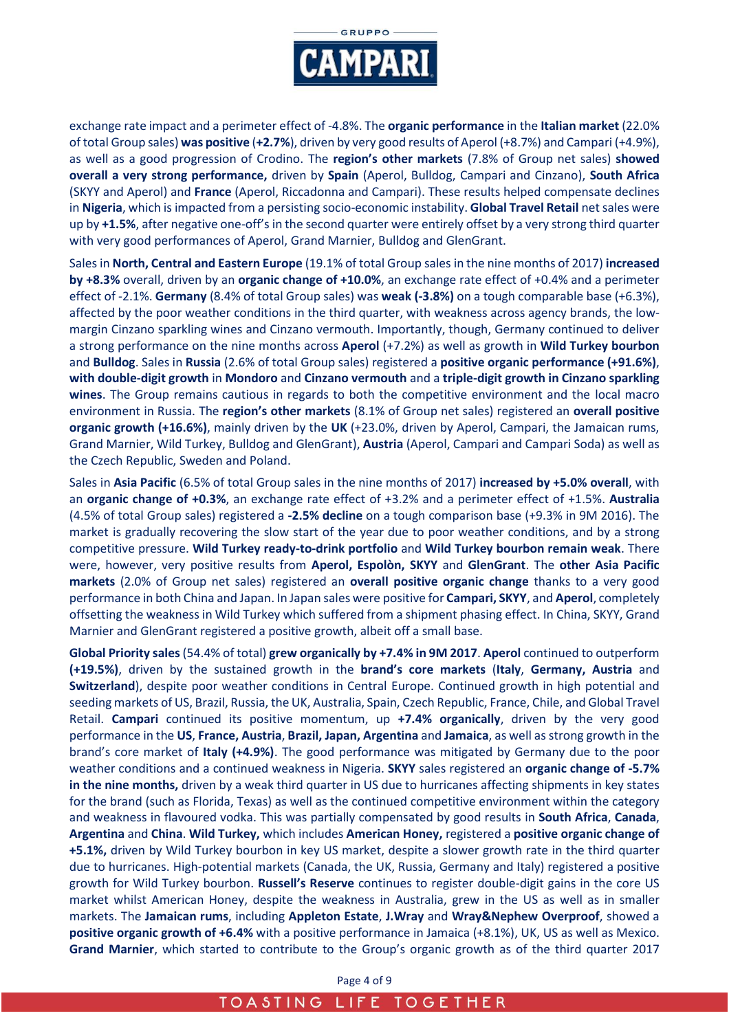

exchange rate impact and a perimeter effect of -4.8%. The **organic performance** in the **Italian market** (22.0% of total Group sales) **was positive** (**+2.7%**), driven by very good results of Aperol (+8.7%) and Campari (+4.9%), as well as a good progression of Crodino. The **region's other markets** (7.8% of Group net sales) **showed overall a very strong performance,** driven by **Spain** (Aperol, Bulldog, Campari and Cinzano), **South Africa**  (SKYY and Aperol) and **France** (Aperol, Riccadonna and Campari). These results helped compensate declines in **Nigeria**, which is impacted from a persisting socio-economic instability. **Global Travel Retail** net sales were up by **+1.5%**, after negative one-off's in the second quarter were entirely offset by a very strong third quarter with very good performances of Aperol, Grand Marnier, Bulldog and GlenGrant.

Sales in **North, Central and Eastern Europe** (19.1% of total Group sales in the nine months of 2017) **increased by +8.3%** overall, driven by an **organic change of +10.0%**, an exchange rate effect of +0.4% and a perimeter effect of -2.1%. **Germany** (8.4% of total Group sales) was **weak (-3.8%)** on a tough comparable base (+6.3%), affected by the poor weather conditions in the third quarter, with weakness across agency brands, the lowmargin Cinzano sparkling wines and Cinzano vermouth. Importantly, though, Germany continued to deliver a strong performance on the nine months across **Aperol** (+7.2%) as well as growth in **Wild Turkey bourbon**  and **Bulldog**. Sales in **Russia** (2.6% of total Group sales) registered a **positive organic performance (+91.6%)**, **with double-digit growth** in **Mondoro** and **Cinzano vermouth** and a **triple-digit growth in Cinzano sparkling wines**. The Group remains cautious in regards to both the competitive environment and the local macro environment in Russia. The **region's other markets** (8.1% of Group net sales) registered an **overall positive organic growth (+16.6%)**, mainly driven by the **UK** (+23.0%, driven by Aperol, Campari, the Jamaican rums, Grand Marnier, Wild Turkey, Bulldog and GlenGrant), **Austria** (Aperol, Campari and Campari Soda) as well as the Czech Republic, Sweden and Poland.

Sales in **Asia Pacific** (6.5% of total Group sales in the nine months of 2017) **increased by +5.0% overall**, with an **organic change of +0.3%**, an exchange rate effect of +3.2% and a perimeter effect of +1.5%. **Australia** (4.5% of total Group sales) registered a **-2.5% decline** on a tough comparison base (+9.3% in 9M 2016). The market is gradually recovering the slow start of the year due to poor weather conditions, and by a strong competitive pressure. **Wild Turkey ready-to-drink portfolio** and **Wild Turkey bourbon remain weak**. There were, however, very positive results from **Aperol, Espolòn, SKYY** and **GlenGrant**. The **other Asia Pacific markets** (2.0% of Group net sales) registered an **overall positive organic change** thanks to a very good performance in both China and Japan. In Japan sales were positive for **Campari, SKYY**, and **Aperol**, completely offsetting the weakness in Wild Turkey which suffered from a shipment phasing effect. In China, SKYY, Grand Marnier and GlenGrant registered a positive growth, albeit off a small base.

**Global Priority sales** (54.4% of total) **grew organically by +7.4% in 9M 2017**. **Aperol** continued to outperform **(+19.5%)**, driven by the sustained growth in the **brand's core markets** (**Italy**, **Germany, Austria** and **Switzerland**), despite poor weather conditions in Central Europe. Continued growth in high potential and seeding markets of US, Brazil, Russia, the UK, Australia, Spain, Czech Republic, France, Chile, and Global Travel Retail. **Campari** continued its positive momentum, up **+7.4% organically**, driven by the very good performance in the **US**, **France, Austria**, **Brazil, Japan, Argentina** and **Jamaica**, as well as strong growth in the brand's core market of **Italy (+4.9%)**. The good performance was mitigated by Germany due to the poor weather conditions and a continued weakness in Nigeria. **SKYY** sales registered an **organic change of -5.7% in the nine months,** driven by a weak third quarter in US due to hurricanes affecting shipments in key states for the brand (such as Florida, Texas) as well as the continued competitive environment within the category and weakness in flavoured vodka. This was partially compensated by good results in **South Africa**, **Canada**, **Argentina** and **China**. **Wild Turkey,** which includes **American Honey,** registered a **positive organic change of +5.1%,** driven by Wild Turkey bourbon in key US market, despite a slower growth rate in the third quarter due to hurricanes. High-potential markets (Canada, the UK, Russia, Germany and Italy) registered a positive growth for Wild Turkey bourbon. **Russell's Reserve** continues to register double-digit gains in the core US market whilst American Honey, despite the weakness in Australia, grew in the US as well as in smaller markets. The **Jamaican rums**, including **Appleton Estate**, **J.Wray** and **Wray&Nephew Overproof**, showed a **positive organic growth of +6.4%** with a positive performance in Jamaica (+8.1%), UK, US as well as Mexico. **Grand Marnier**, which started to contribute to the Group's organic growth as of the third quarter 2017

Page 4 of 9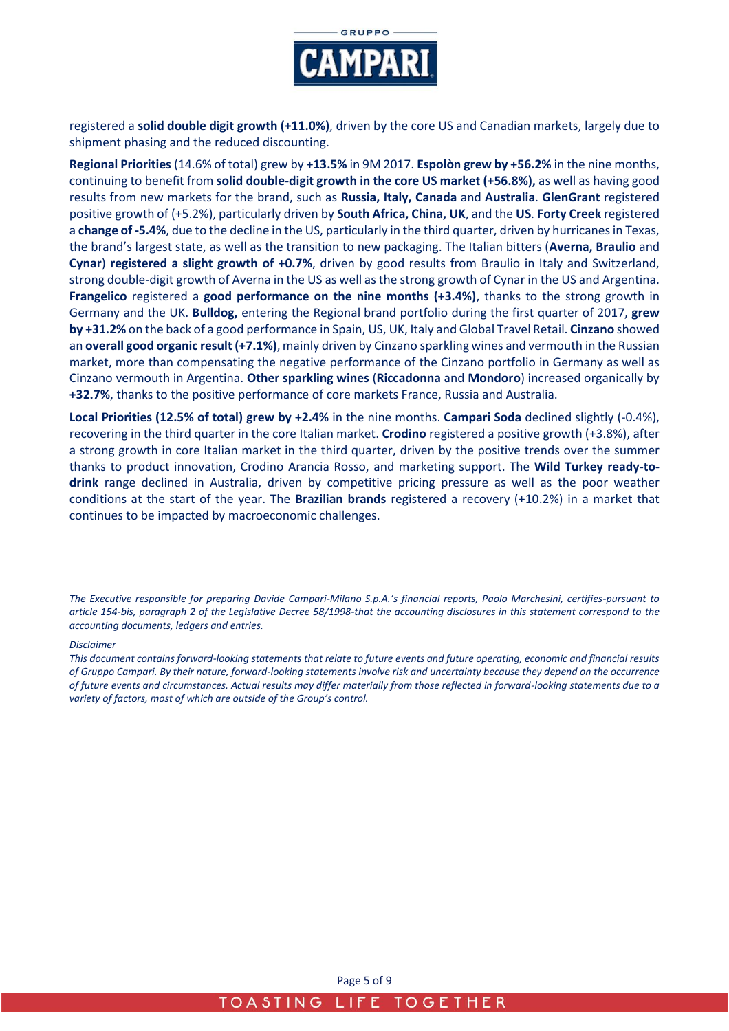

registered a **solid double digit growth (+11.0%)**, driven by the core US and Canadian markets, largely due to shipment phasing and the reduced discounting.

**Regional Priorities** (14.6% of total) grew by **+13.5%** in 9M 2017. **Espolòn grew by +56.2%** in the nine months, continuing to benefit from **solid double-digit growth in the core US market (+56.8%),** as well as having good results from new markets for the brand, such as **Russia, Italy, Canada** and **Australia**. **GlenGrant** registered positive growth of (+5.2%), particularly driven by **South Africa, China, UK**, and the **US**. **Forty Creek** registered a **change of -5.4%**, due to the decline in the US, particularly in the third quarter, driven by hurricanes in Texas, the brand's largest state, as well as the transition to new packaging. The Italian bitters (**Averna, Braulio** and **Cynar**) **registered a slight growth of +0.7%**, driven by good results from Braulio in Italy and Switzerland, strong double-digit growth of Averna in the US as well as the strong growth of Cynar in the US and Argentina. **Frangelico** registered a **good performance on the nine months (+3.4%)**, thanks to the strong growth in Germany and the UK. **Bulldog,** entering the Regional brand portfolio during the first quarter of 2017, **grew by +31.2%** on the back of a good performance in Spain, US, UK, Italy and Global Travel Retail. **Cinzano** showed an **overall good organic result (+7.1%)**, mainly driven by Cinzano sparkling wines and vermouth in the Russian market, more than compensating the negative performance of the Cinzano portfolio in Germany as well as Cinzano vermouth in Argentina. **Other sparkling wines** (**Riccadonna** and **Mondoro**) increased organically by **+32.7%**, thanks to the positive performance of core markets France, Russia and Australia.

**Local Priorities (12.5% of total) grew by +2.4%** in the nine months. **Campari Soda** declined slightly (-0.4%), recovering in the third quarter in the core Italian market. **Crodino** registered a positive growth (+3.8%), after a strong growth in core Italian market in the third quarter, driven by the positive trends over the summer thanks to product innovation, Crodino Arancia Rosso, and marketing support. The **Wild Turkey ready-todrink** range declined in Australia, driven by competitive pricing pressure as well as the poor weather conditions at the start of the year. The **Brazilian brands** registered a recovery (+10.2%) in a market that continues to be impacted by macroeconomic challenges.

*The Executive responsible for preparing Davide Campari-Milano S.p.A.'s financial reports, Paolo Marchesini, certifies-pursuant to article 154-bis, paragraph 2 of the Legislative Decree 58/1998-that the accounting disclosures in this statement correspond to the accounting documents, ledgers and entries.* 

#### *Disclaimer*

*This document contains forward-looking statements that relate to future events and future operating, economic and financial results of Gruppo Campari. By their nature, forward-looking statements involve risk and uncertainty because they depend on the occurrence of future events and circumstances. Actual results may differ materially from those reflected in forward-looking statements due to a variety of factors, most of which are outside of the Group's control.*

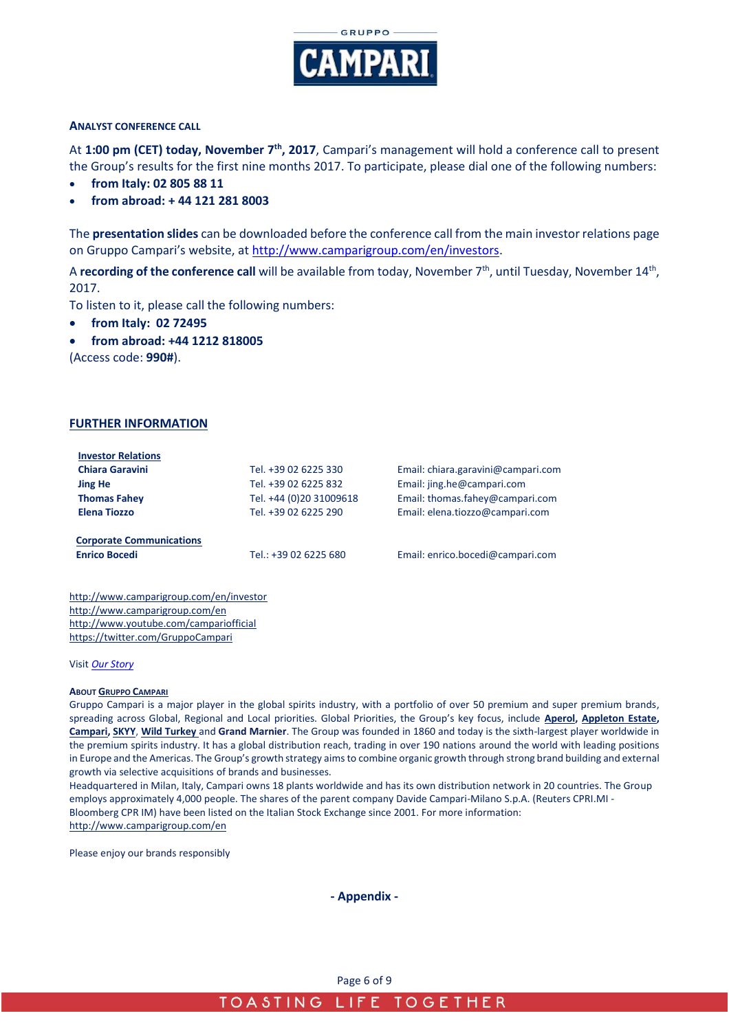

#### **ANALYST CONFERENCE CALL**

At **1:00 pm (CET) today, November 7th, 2017**, Campari's management will hold a conference call to present the Group's results for the first nine months 2017. To participate, please dial one of the following numbers:

- **from Italy: 02 805 88 11**
- **from abroad: + 44 121 281 8003**

The **presentation slides** can be downloaded before the conference call from the main investor relations page on Gruppo Campari's website, at [http://www.camparigroup.com/en/investors.](http://www.camparigroup.com/en/investors)

A **recording of the conference call** will be available from today, November 7<sup>th</sup>, until Tuesday, November 14<sup>th</sup>, 2017.

To listen to it, please call the following numbers:

- **from Italy: 02 72495**
- **from abroad: +44 1212 818005**

(Access code: **990#**).

#### **FURTHER INFORMATION**

| <b>Investor Relations</b>       |                         |                                    |
|---------------------------------|-------------------------|------------------------------------|
| <b>Chiara Garavini</b>          | Tel. +39 02 6225 330    | Email: chiara.garavini@campari.com |
| <b>Jing He</b>                  | Tel. +39 02 6225 832    | Email: jing.he@campari.com         |
| <b>Thomas Fahev</b>             | Tel. +44 (0)20 31009618 | Email: thomas.fahey@campari.com    |
| <b>Elena Tiozzo</b>             | Tel. +39 02 6225 290    | Email: elena.tiozzo@campari.com    |
| <b>Corporate Communications</b> |                         |                                    |
| <b>Enrico Bocedi</b>            | Tel.: +39 02 6225 680   | Email: enrico.bocedi@campari.com   |
|                                 |                         |                                    |

http://www.camparigroup.com/en/investor http://www.camparigroup.com/en <http://www.youtube.com/campariofficial> <https://twitter.com/GruppoCampari>

#### Visit *[Our Story](https://youtu.be/ilNVsU9Cigo)*

#### **ABOUT GRUPPO C[AMPARI](http://www.camparigroup.com/en/index.shtml)**

Gruppo Campari is a major player in the global spirits industry, with a portfolio of over 50 premium and super premium brands, spreading across Global, Regional and Local priorities. Global Priorities, the Group's key focus, include **[Aperol,](http://www.aperol.com/?http%3A//www.aperol.com/) [Appleton Estate,](http://www.appletonestate.com/) [Campari,](http://www.campari.com/) [SKYY](http://www.skyy.com/)**, **[Wild Turkey](http://www.wildturkeybourbon.com.au/)** and **Grand Marnier**. The Group was founded in 1860 and today is the sixth-largest player worldwide in the premium spirits industry. It has a global distribution reach, trading in over 190 nations around the world with leading positions in Europe and the Americas. The Group's growth strategy aims to combine organic growth through strong brand building and external growth via selective acquisitions of brands and businesses.

Headquartered in Milan, Italy, Campari owns 18 plants worldwide and has its own distribution network in 20 countries. The Group employs approximately 4,000 people. The shares of the parent company Davide Campari-Milano S.p.A. (Reuters CPRI.MI - Bloomberg CPR IM) have been listed on the Italian Stock Exchange since 2001. For more information: http://www.camparigroup.com/en

Please enjoy our brands responsibly

**- Appendix -**

Page 6 of 9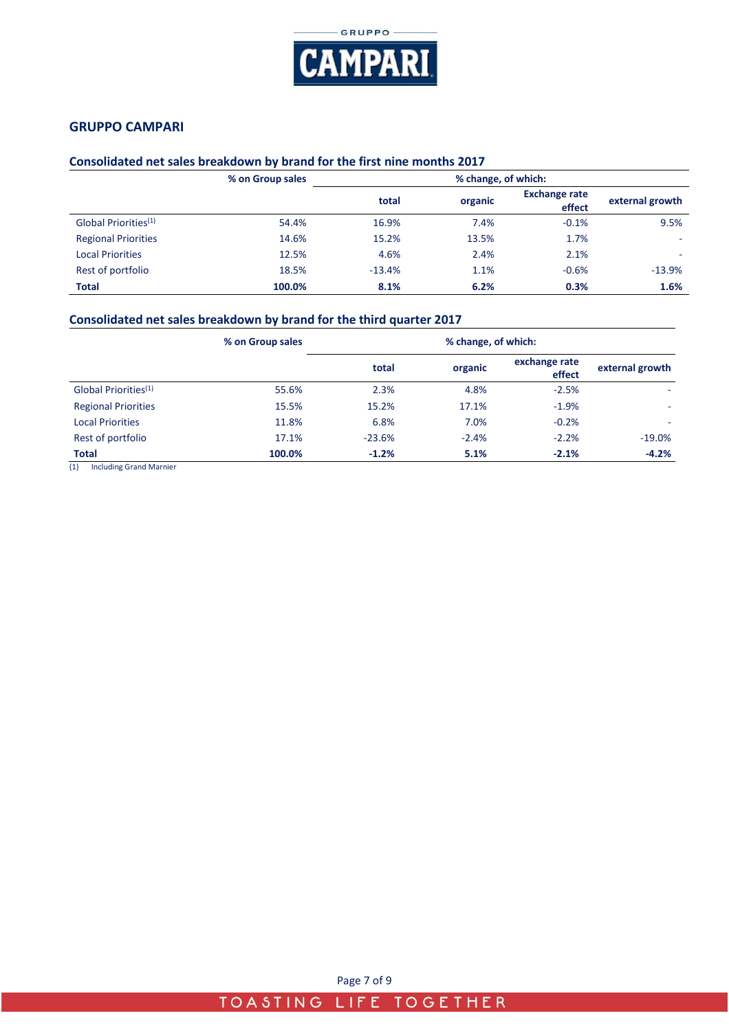

### **GRUPPO CAMPARI**

### **Consolidated net sales breakdown by brand for the first nine months 2017**

|                                  | % on Group sales | % change, of which: |         |                                |                 |  |
|----------------------------------|------------------|---------------------|---------|--------------------------------|-----------------|--|
|                                  |                  | total               | organic | <b>Exchange rate</b><br>effect | external growth |  |
| Global Priorities <sup>(1)</sup> | 54.4%            | 16.9%               | 7.4%    | $-0.1%$                        | 9.5%            |  |
| <b>Regional Priorities</b>       | 14.6%            | 15.2%               | 13.5%   | 1.7%                           | -               |  |
| <b>Local Priorities</b>          | 12.5%            | 4.6%                | 2.4%    | 2.1%                           | -               |  |
| Rest of portfolio                | 18.5%            | $-13.4%$            | 1.1%    | $-0.6%$                        | $-13.9%$        |  |
| <b>Total</b>                     | 100.0%           | 8.1%                | 6.2%    | 0.3%                           | 1.6%            |  |

### **Consolidated net sales breakdown by brand for the third quarter 2017**

|                                  | % on Group sales | % change, of which: |         |                         |                 |
|----------------------------------|------------------|---------------------|---------|-------------------------|-----------------|
|                                  |                  | total               | organic | exchange rate<br>effect | external growth |
| Global Priorities <sup>(1)</sup> | 55.6%            | 2.3%                | 4.8%    | $-2.5%$                 |                 |
| <b>Regional Priorities</b>       | 15.5%            | 15.2%               | 17.1%   | $-1.9%$                 | ۰.              |
| <b>Local Priorities</b>          | 11.8%            | 6.8%                | 7.0%    | $-0.2%$                 |                 |
| Rest of portfolio                | 17.1%            | $-23.6%$            | $-2.4%$ | $-2.2%$                 | $-19.0%$        |
| <b>Total</b>                     | 100.0%           | $-1.2%$             | 5.1%    | $-2.1%$                 | $-4.2%$         |

(1) Including Grand Marnier

Page 7 of 9

## TOASTING LIFE TOGETHER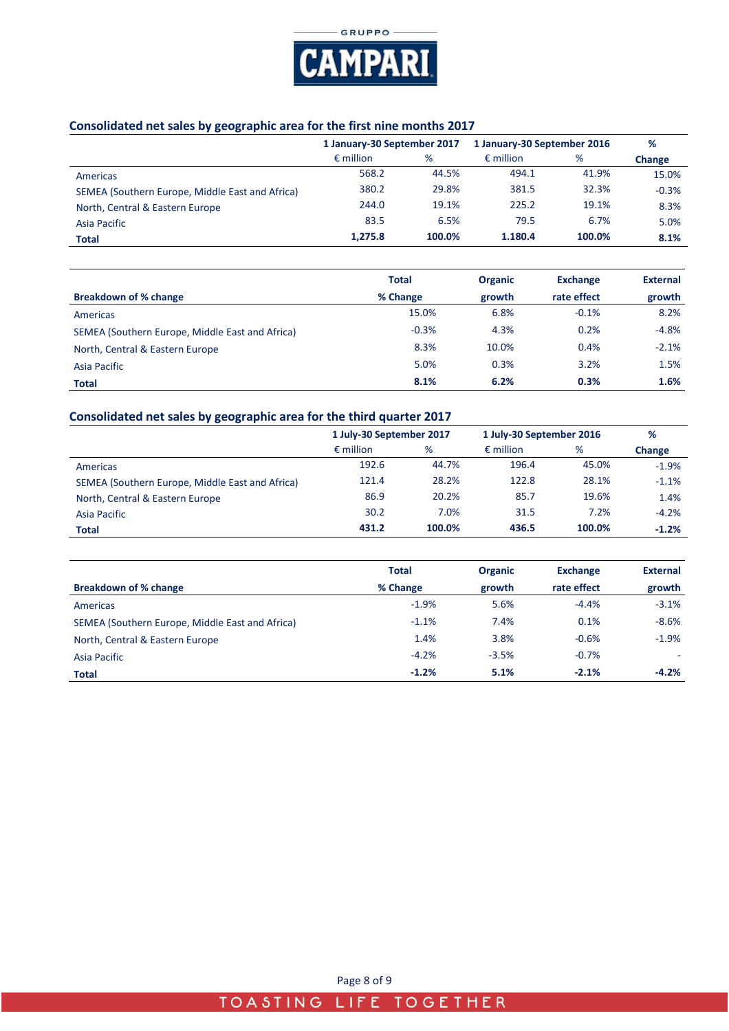

## **Consolidated net sales by geographic area for the first nine months 2017**

|                                                 | 1 January-30 September 2017 |        | 1 January-30 September 2016 |        | %       |
|-------------------------------------------------|-----------------------------|--------|-----------------------------|--------|---------|
|                                                 | $\epsilon$ million          | %      | $\epsilon$ million          | %      | Change  |
| Americas                                        | 568.2                       | 44.5%  | 494.1                       | 41.9%  | 15.0%   |
| SEMEA (Southern Europe, Middle East and Africa) | 380.2                       | 29.8%  | 381.5                       | 32.3%  | $-0.3%$ |
| North, Central & Eastern Europe                 | 244.0                       | 19.1%  | 225.2                       | 19.1%  | 8.3%    |
| Asia Pacific                                    | 83.5                        | 6.5%   | 79.5                        | 6.7%   | 5.0%    |
| <b>Total</b>                                    | 1,275.8                     | 100.0% | 1.180.4                     | 100.0% | 8.1%    |

|                                                 | <b>Total</b> | <b>Organic</b> | <b>Exchange</b> | <b>External</b> |
|-------------------------------------------------|--------------|----------------|-----------------|-----------------|
| <b>Breakdown of % change</b>                    | % Change     | growth         | rate effect     | growth          |
| Americas                                        | 15.0%        | 6.8%           | $-0.1%$         | 8.2%            |
| SEMEA (Southern Europe, Middle East and Africa) | $-0.3%$      | 4.3%           | 0.2%            | $-4.8%$         |
| North, Central & Eastern Europe                 | 8.3%         | 10.0%          | 0.4%            | $-2.1%$         |
| Asia Pacific                                    | 5.0%         | 0.3%           | 3.2%            | 1.5%            |
| <b>Total</b>                                    | 8.1%         | 6.2%           | 0.3%            | 1.6%            |

# **Consolidated net sales by geographic area for the third quarter 2017**

|                                                 | 1 July-30 September 2017 |        | 1 July-30 September 2016 |        | %       |
|-------------------------------------------------|--------------------------|--------|--------------------------|--------|---------|
|                                                 | $\epsilon$ million       | %      | $\epsilon$ million       | %      | Change  |
| Americas                                        | 192.6                    | 44.7%  | 196.4                    | 45.0%  | $-1.9%$ |
| SEMEA (Southern Europe, Middle East and Africa) | 121.4                    | 28.2%  | 122.8                    | 28.1%  | $-1.1%$ |
| North, Central & Eastern Europe                 | 86.9                     | 20.2%  | 85.7                     | 19.6%  | 1.4%    |
| Asia Pacific                                    | 30.2                     | 7.0%   | 31.5                     | 7.2%   | $-4.2%$ |
| <b>Total</b>                                    | 431.2                    | 100.0% | 436.5                    | 100.0% | $-1.2%$ |

|                                                 | <b>Total</b> | <b>Organic</b> | <b>Exchange</b> | <b>External</b> |  |
|-------------------------------------------------|--------------|----------------|-----------------|-----------------|--|
| Breakdown of % change                           | % Change     | growth         | rate effect     | growth          |  |
| Americas                                        | $-1.9%$      | 5.6%           | $-4.4%$         | $-3.1%$         |  |
| SEMEA (Southern Europe, Middle East and Africa) | $-1.1%$      | 7.4%           | 0.1%            | $-8.6%$         |  |
| North, Central & Eastern Europe                 | 1.4%         | 3.8%           | $-0.6%$         | $-1.9%$         |  |
| Asia Pacific                                    | $-4.2%$      | $-3.5%$        | $-0.7%$         |                 |  |
| <b>Total</b>                                    | $-1.2%$      | 5.1%           | $-2.1%$         | $-4.2%$         |  |